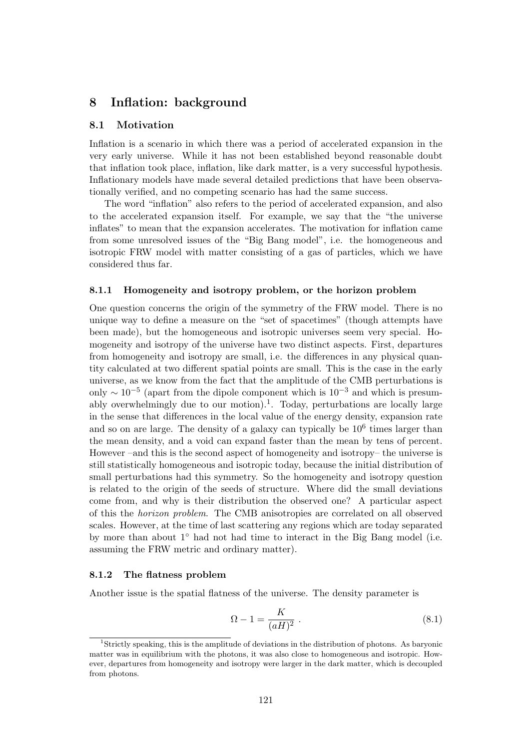# **8 Inflation: background**

# **8.1 Motivation**

Inflation is a scenario in which there was a period of accelerated expansion in the very early universe. While it has not been established beyond reasonable doubt that inflation took place, inflation, like dark matter, is a very successful hypothesis. Inflationary models have made several detailed predictions that have been observationally verified, and no competing scenario has had the same success.

The word "inflation" also refers to the period of accelerated expansion, and also to the accelerated expansion itself. For example, we say that the "the universe inflates" to mean that the expansion accelerates. The motivation for inflation came from some unresolved issues of the "Big Bang model", i.e. the homogeneous and isotropic FRW model with matter consisting of a gas of particles, which we have considered thus far.

### **8.1.1 Homogeneity and isotropy problem, or the horizon problem**

One question concerns the origin of the symmetry of the FRW model. There is no unique way to define a measure on the "set of spacetimes" (though attempts have been made), but the homogeneous and isotropic universes seem very special. Homogeneity and isotropy of the universe have two distinct aspects. First, departures from homogeneity and isotropy are small, i.e. the differences in any physical quantity calculated at two different spatial points are small. This is the case in the early universe, as we know from the fact that the amplitude of the CMB perturbations is only *<sup>∼</sup>* <sup>10</sup>*−*<sup>5</sup> (apart from the dipole component which is 10*−*<sup>3</sup> and which is presumably overwhelmingly due to our motion).<sup>1</sup>. Today, perturbations are locally large in the sense that differences in the local value of the energy density, expansion rate and so on are large. The density of a galaxy can typically be  $10<sup>6</sup>$  times larger than the mean density, and a void can expand faster than the mean by tens of percent. However –and this is the second aspect of homogeneity and isotropy– the universe is still statistically homogeneous and isotropic today, because the initial distribution of small perturbations had this symmetry. So the homogeneity and isotropy question is related to the origin of the seeds of structure. Where did the small deviations come from, and why is their distribution the observed one? A particular aspect of this the *horizon problem*. The CMB anisotropies are correlated on all observed scales. However, at the time of last scattering any regions which are today separated by more than about 1*◦* had not had time to interact in the Big Bang model (i.e. assuming the FRW metric and ordinary matter).

### **8.1.2 The flatness problem**

Another issue is the spatial flatness of the universe. The density parameter is

$$
\Omega - 1 = \frac{K}{(aH)^2} \tag{8.1}
$$

<sup>1</sup>Strictly speaking, this is the amplitude of deviations in the distribution of photons. As baryonic matter was in equilibrium with the photons, it was also close to homogeneous and isotropic. However, departures from homogeneity and isotropy were larger in the dark matter, which is decoupled from photons.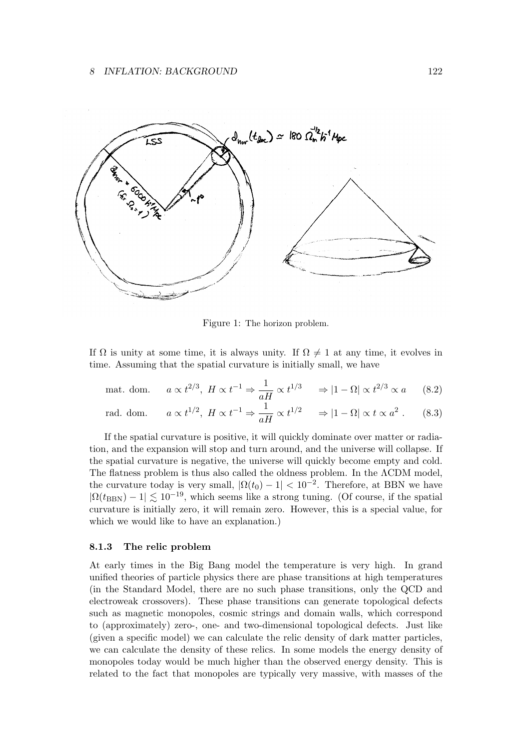

Figure 1: The horizon problem.

If  $\Omega$  is unity at some time, it is always unity. If  $\Omega \neq 1$  at any time, it evolves in time. Assuming that the spatial curvature is initially small, we have

$$
\text{mat. dom.} \qquad a \propto t^{2/3}, \ H \propto t^{-1} \Rightarrow \frac{1}{aH} \propto t^{1/3} \qquad \Rightarrow |1 - \Omega| \propto t^{2/3} \propto a \tag{8.2}
$$

rad. dom. 
$$
a \propto t^{1/2}
$$
,  $H \propto t^{-1} \Rightarrow \frac{1}{aH} \propto t^{1/2} \Rightarrow |1 - \Omega| \propto t \propto a^2$ . (8.3)

If the spatial curvature is positive, it will quickly dominate over matter or radiation, and the expansion will stop and turn around, and the universe will collapse. If the spatial curvature is negative, the universe will quickly become empty and cold. The flatness problem is thus also called the oldness problem. In the ΛCDM model, the curvature today is very small,  $|\Omega(t_0) - 1| < 10^{-2}$ . Therefore, at BBN we have  $|\Omega(t_{\text{BBN}}) - 1| \lesssim 10^{-19}$ , which seems like a strong tuning. (Of course, if the spatial curvature is initially zero, it will remain zero. However, this is a special value, for which we would like to have an explanation.)

### **8.1.3 The relic problem**

At early times in the Big Bang model the temperature is very high. In grand unified theories of particle physics there are phase transitions at high temperatures (in the Standard Model, there are no such phase transitions, only the QCD and electroweak crossovers). These phase transitions can generate topological defects such as magnetic monopoles, cosmic strings and domain walls, which correspond to (approximately) zero-, one- and two-dimensional topological defects. Just like (given a specific model) we can calculate the relic density of dark matter particles, we can calculate the density of these relics. In some models the energy density of monopoles today would be much higher than the observed energy density. This is related to the fact that monopoles are typically very massive, with masses of the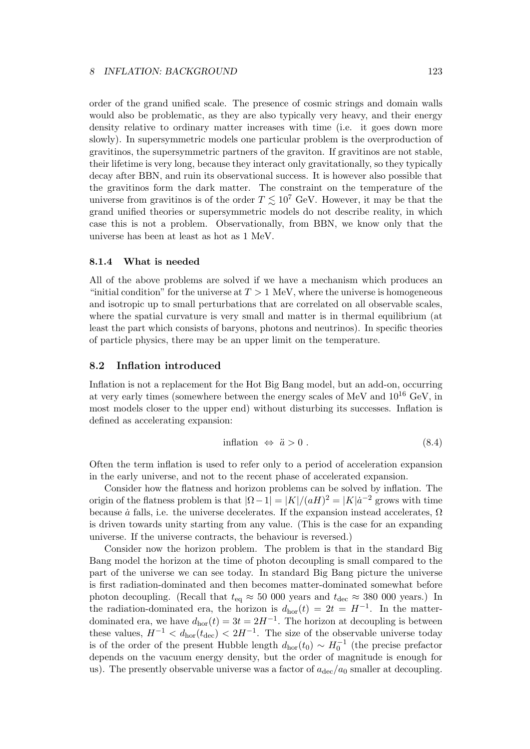order of the grand unified scale. The presence of cosmic strings and domain walls would also be problematic, as they are also typically very heavy, and their energy density relative to ordinary matter increases with time (i.e. it goes down more slowly). In supersymmetric models one particular problem is the overproduction of gravitinos, the supersymmetric partners of the graviton. If gravitinos are not stable, their lifetime is very long, because they interact only gravitationally, so they typically decay after BBN, and ruin its observational success. It is however also possible that the gravitinos form the dark matter. The constraint on the temperature of the universe from gravitinos is of the order  $T \lesssim 10^7$  GeV. However, it may be that the grand unified theories or supersymmetric models do not describe reality, in which case this is not a problem. Observationally, from BBN, we know only that the universe has been at least as hot as 1 MeV.

### **8.1.4 What is needed**

All of the above problems are solved if we have a mechanism which produces an "initial condition" for the universe at  $T > 1$  MeV, where the universe is homogeneous and isotropic up to small perturbations that are correlated on all observable scales, where the spatial curvature is very small and matter is in thermal equilibrium (at least the part which consists of baryons, photons and neutrinos). In specific theories of particle physics, there may be an upper limit on the temperature.

## **8.2 Inflation introduced**

Inflation is not a replacement for the Hot Big Bang model, but an add-on, occurring at very early times (somewhere between the energy scales of MeV and  $10^{16}$  GeV, in most models closer to the upper end) without disturbing its successes. Inflation is defined as accelerating expansion:

$$
inflation \Leftrightarrow \ddot{a} > 0. \tag{8.4}
$$

Often the term inflation is used to refer only to a period of acceleration expansion in the early universe, and not to the recent phase of accelerated expansion.

Consider how the flatness and horizon problems can be solved by inflation. The origin of the flatness problem is that  $|\Omega - 1| = |K|/(aH)^2 = |K| \dot{a}^{-2}$  grows with time because  $\dot{a}$  falls, i.e. the universe decelerates. If the expansion instead accelerates,  $\Omega$ is driven towards unity starting from any value. (This is the case for an expanding universe. If the universe contracts, the behaviour is reversed.)

Consider now the horizon problem. The problem is that in the standard Big Bang model the horizon at the time of photon decoupling is small compared to the part of the universe we can see today. In standard Big Bang picture the universe is first radiation-dominated and then becomes matter-dominated somewhat before photon decoupling. (Recall that  $t_{eq} \approx 50,000$  years and  $t_{dec} \approx 380,000$  years.) In the radiation-dominated era, the horizon is  $d_{\text{hor}}(t) = 2t = H^{-1}$ . In the matterdominated era, we have  $d_{\text{hor}}(t) = 3t = 2H^{-1}$ . The horizon at decoupling is between these values,  $H^{-1} < d_{\text{hor}}(t_{\text{dec}}) < 2H^{-1}$ . The size of the observable universe today is of the order of the present Hubble length  $d_{\text{hor}}(t_0) \sim H_0^{-1}$  (the precise prefactor depends on the vacuum energy density, but the order of magnitude is enough for us). The presently observable universe was a factor of  $a_{\text{dec}}/a_0$  smaller at decoupling.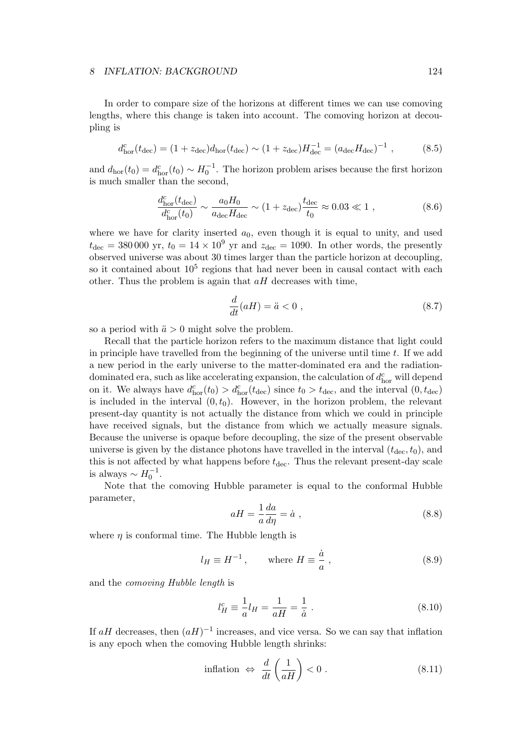In order to compare size of the horizons at different times we can use comoving lengths, where this change is taken into account. The comoving horizon at decoupling is

$$
d_{\text{hor}}^c(t_{\text{dec}}) = (1 + z_{\text{dec}})d_{\text{hor}}(t_{\text{dec}}) \sim (1 + z_{\text{dec}})H_{\text{dec}}^{-1} = (a_{\text{dec}}H_{\text{dec}})^{-1} ,\qquad (8.5)
$$

and  $d_{\text{hor}}(t_0) = d_{\text{hor}}^c(t_0) \sim H_0^{-1}$ . The horizon problem arises because the first horizon is much smaller than the second,

$$
\frac{d_{\text{hor}}^c(t_{\text{dec}})}{d_{\text{hor}}^c(t_0)} \sim \frac{a_0 H_0}{a_{\text{dec}} H_{\text{dec}}} \sim (1 + z_{\text{dec}}) \frac{t_{\text{dec}}}{t_0} \approx 0.03 \ll 1 ,\qquad (8.6)
$$

where we have for clarity inserted  $a_0$ , even though it is equal to unity, and used  $t_{\text{dec}} = 380\,000$  yr,  $t_0 = 14 \times 10^9$  yr and  $z_{\text{dec}} = 1090$ . In other words, the presently observed universe was about 30 times larger than the particle horizon at decoupling, so it contained about  $10<sup>5</sup>$  regions that had never been in causal contact with each other. Thus the problem is again that *aH* decreases with time,

$$
\frac{d}{dt}(aH) = \ddot{a} < 0 \tag{8.7}
$$

so a period with  $\ddot{a} > 0$  might solve the problem.

Recall that the particle horizon refers to the maximum distance that light could in principle have travelled from the beginning of the universe until time *t*. If we add a new period in the early universe to the matter-dominated era and the radiationdominated era, such as like accelerating expansion, the calculation of  $d_{\text{hor}}^c$  will depend on it. We always have  $d_{\text{hor}}^c(t_0) > d_{\text{hor}}^c(t_{\text{dec}})$  since  $t_0 > t_{\text{dec}}$ , and the interval  $(0, t_{\text{dec}})$ is included in the interval  $(0, t_0)$ . However, in the horizon problem, the relevant present-day quantity is not actually the distance from which we could in principle have received signals, but the distance from which we actually measure signals. Because the universe is opaque before decoupling, the size of the present observable universe is given by the distance photons have travelled in the interval  $(t_{\text{dec}}, t_0)$ , and this is not affected by what happens before  $t_{\text{dec}}$ . Thus the relevant present-day scale is always  $∼ H_0^{-1}$ .

Note that the comoving Hubble parameter is equal to the conformal Hubble parameter,

$$
aH = \frac{1}{a}\frac{da}{d\eta} = \dot{a} \tag{8.8}
$$

where  $\eta$  is conformal time. The Hubble length is

$$
l_H \equiv H^{-1}, \qquad \text{where } H \equiv \frac{\dot{a}}{a}, \qquad (8.9)
$$

and the *comoving Hubble length* is

$$
l_H^c \equiv \frac{1}{a}l_H = \frac{1}{aH} = \frac{1}{\dot{a}} \; . \tag{8.10}
$$

If  $aH$  decreases, then  $(aH)^{-1}$  increases, and vice versa. So we can say that inflation is any epoch when the comoving Hubble length shrinks:

$$
\text{inflation} \Leftrightarrow \frac{d}{dt} \left( \frac{1}{aH} \right) < 0 \,. \tag{8.11}
$$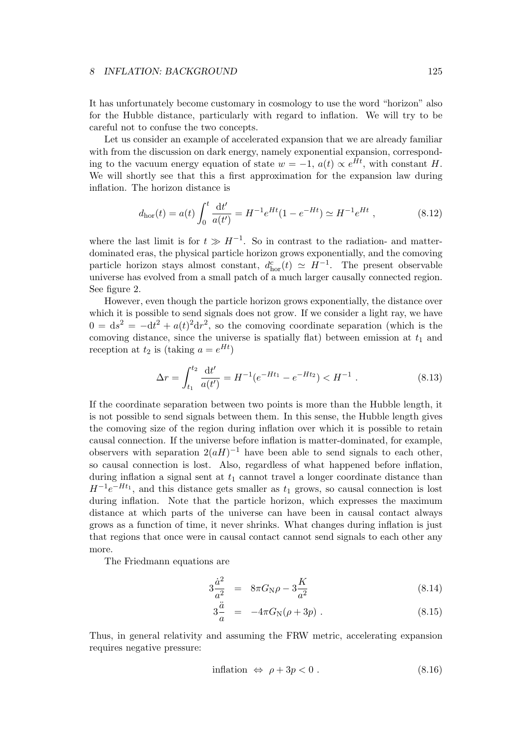It has unfortunately become customary in cosmology to use the word "horizon" also for the Hubble distance, particularly with regard to inflation. We will try to be careful not to confuse the two concepts.

Let us consider an example of accelerated expansion that we are already familiar with from the discussion on dark energy, namely exponential expansion, corresponding to the vacuum energy equation of state  $w = -1$ ,  $a(t) \propto e^{Ht}$ , with constant *H*. We will shortly see that this a first approximation for the expansion law during inflation. The horizon distance is

$$
d_{\text{hor}}(t) = a(t) \int_0^t \frac{\mathrm{d}t'}{a(t')} = H^{-1} e^{Ht} (1 - e^{-Ht}) \simeq H^{-1} e^{Ht} , \qquad (8.12)
$$

where the last limit is for  $t \gg H^{-1}$ . So in contrast to the radiation- and matterdominated eras, the physical particle horizon grows exponentially, and the comoving particle horizon stays almost constant,  $d_{\text{hor}}^c(t) \simeq H^{-1}$ . The present observable universe has evolved from a small patch of a much larger causally connected region. See figure 2.

However, even though the particle horizon grows exponentially, the distance over which it is possible to send signals does not grow. If we consider a light ray, we have  $0 = ds^2 = -dt^2 + a(t)^2 dr^2$ , so the comoving coordinate separation (which is the comoving distance, since the universe is spatially flat) between emission at  $t_1$  and reception at  $t_2$  is (taking  $a = e^{Ht}$ )

$$
\Delta r = \int_{t_1}^{t_2} \frac{\mathrm{d}t'}{a(t')} = H^{-1}(e^{-Ht_1} - e^{-Ht_2}) < H^{-1} \tag{8.13}
$$

If the coordinate separation between two points is more than the Hubble length, it is not possible to send signals between them. In this sense, the Hubble length gives the comoving size of the region during inflation over which it is possible to retain causal connection. If the universe before inflation is matter-dominated, for example, observers with separation  $2(aH)^{-1}$  have been able to send signals to each other, so causal connection is lost. Also, regardless of what happened before inflation, during inflation a signal sent at  $t_1$  cannot travel a longer coordinate distance than  $H^{-1}e^{-Ht_1}$ , and this distance gets smaller as  $t_1$  grows, so causal connection is lost during inflation. Note that the particle horizon, which expresses the maximum distance at which parts of the universe can have been in causal contact always grows as a function of time, it never shrinks. What changes during inflation is just that regions that once were in causal contact cannot send signals to each other any more.

The Friedmann equations are

$$
3\frac{\dot{a}^2}{a^2} = 8\pi G_N \rho - 3\frac{K}{a^2}
$$
 (8.14)

$$
3\frac{\ddot{a}}{a} = -4\pi G_{\rm N}(\rho + 3p) \ . \tag{8.15}
$$

Thus, in general relativity and assuming the FRW metric, accelerating expansion requires negative pressure:

$$
inflation \Leftrightarrow \rho + 3p < 0. \tag{8.16}
$$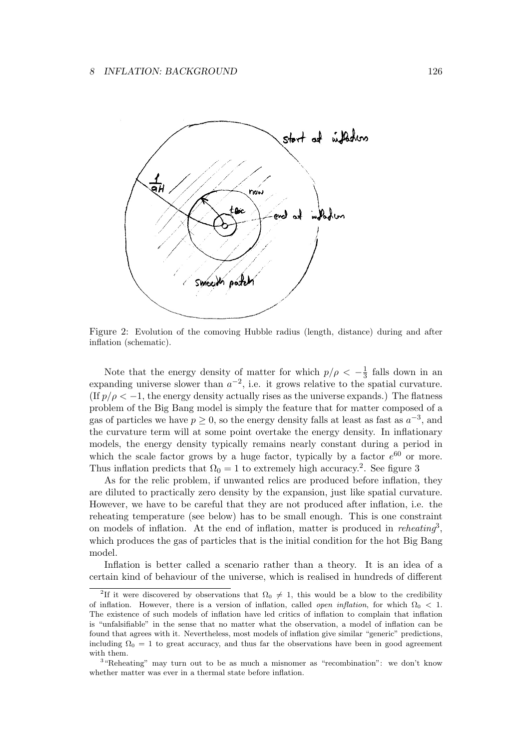

Figure 2: Evolution of the comoving Hubble radius (length, distance) during and after inflation (schematic).

Note that the energy density of matter for which  $p/\rho < -\frac{1}{3}$  $\frac{1}{3}$  falls down in an expanding universe slower than  $a^{-2}$ , i.e. it grows relative to the spatial curvature. (If  $p/\rho < -1$ , the energy density actually rises as the universe expands.) The flatness problem of the Big Bang model is simply the feature that for matter composed of a gas of particles we have  $p \geq 0$ , so the energy density falls at least as fast as  $a^{-3}$ , and the curvature term will at some point overtake the energy density. In inflationary models, the energy density typically remains nearly constant during a period in which the scale factor grows by a huge factor, typically by a factor  $e^{60}$  or more. Thus inflation predicts that  $\Omega_0 = 1$  to extremely high accuracy.<sup>2</sup>. See figure 3

As for the relic problem, if unwanted relics are produced before inflation, they are diluted to practically zero density by the expansion, just like spatial curvature. However, we have to be careful that they are not produced after inflation, i.e. the reheating temperature (see below) has to be small enough. This is one constraint on models of inflation. At the end of inflation, matter is produced in *reheating*<sup>3</sup> , which produces the gas of particles that is the initial condition for the hot Big Bang model.

Inflation is better called a scenario rather than a theory. It is an idea of a certain kind of behaviour of the universe, which is realised in hundreds of different

<sup>&</sup>lt;sup>2</sup>If it were discovered by observations that  $\Omega_0 \neq 1$ , this would be a blow to the credibility of inflation. However, there is a version of inflation, called *open inflation*, for which  $\Omega_0 < 1$ . The existence of such models of inflation have led critics of inflation to complain that inflation is "unfalsifiable" in the sense that no matter what the observation, a model of inflation can be found that agrees with it. Nevertheless, most models of inflation give similar "generic" predictions, including  $\Omega_0 = 1$  to great accuracy, and thus far the observations have been in good agreement with them.

<sup>&</sup>lt;sup>3</sup> "Reheating" may turn out to be as much a misnomer as "recombination": we don't know whether matter was ever in a thermal state before inflation.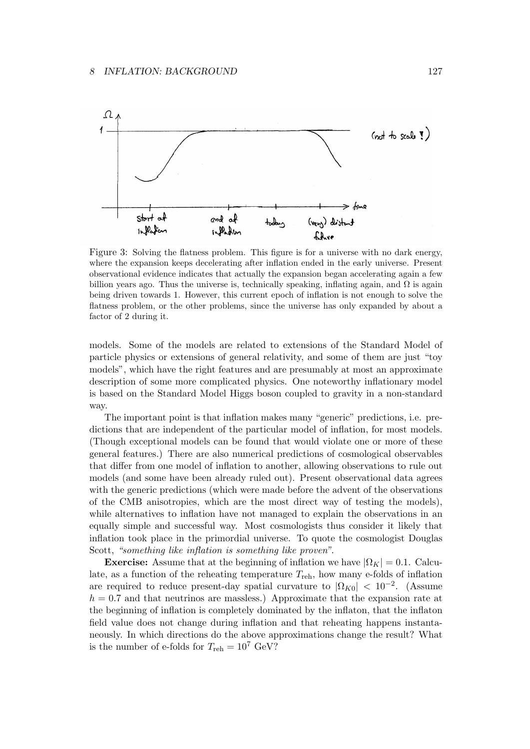

Figure 3: Solving the flatness problem. This figure is for a universe with no dark energy, where the expansion keeps decelerating after inflation ended in the early universe. Present observational evidence indicates that actually the expansion began accelerating again a few billion years ago. Thus the universe is, technically speaking, inflating again, and  $\Omega$  is again being driven towards 1. However, this current epoch of inflation is not enough to solve the flatness problem, or the other problems, since the universe has only expanded by about a factor of 2 during it.

models. Some of the models are related to extensions of the Standard Model of particle physics or extensions of general relativity, and some of them are just "toy models", which have the right features and are presumably at most an approximate description of some more complicated physics. One noteworthy inflationary model is based on the Standard Model Higgs boson coupled to gravity in a non-standard way.

The important point is that inflation makes many "generic" predictions, i.e. predictions that are independent of the particular model of inflation, for most models. (Though exceptional models can be found that would violate one or more of these general features.) There are also numerical predictions of cosmological observables that differ from one model of inflation to another, allowing observations to rule out models (and some have been already ruled out). Present observational data agrees with the generic predictions (which were made before the advent of the observations of the CMB anisotropies, which are the most direct way of testing the models), while alternatives to inflation have not managed to explain the observations in an equally simple and successful way. Most cosmologists thus consider it likely that inflation took place in the primordial universe. To quote the cosmologist Douglas Scott, *"something like inflation is something like proven"*.

**Exercise:** Assume that at the beginning of inflation we have  $|\Omega_K| = 0.1$ . Calculate, as a function of the reheating temperature *T*reh, how many e-folds of inflation are required to reduce present-day spatial curvature to  $|\Omega_{K0}| < 10^{-2}$ . (Assume *h* = 0*.*7 and that neutrinos are massless.) Approximate that the expansion rate at the beginning of inflation is completely dominated by the inflaton, that the inflaton field value does not change during inflation and that reheating happens instantaneously. In which directions do the above approximations change the result? What is the number of e-folds for  $T_{\text{reh}} = 10^7 \text{ GeV}$ ?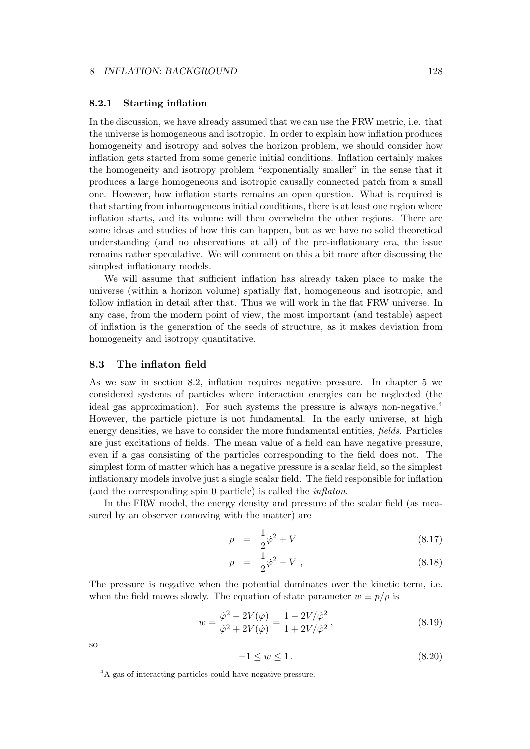### **8.2.1 Starting inflation**

In the discussion, we have already assumed that we can use the FRW metric, i.e. that the universe is homogeneous and isotropic. In order to explain how inflation produces homogeneity and isotropy and solves the horizon problem, we should consider how inflation gets started from some generic initial conditions. Inflation certainly makes the homogeneity and isotropy problem "exponentially smaller" in the sense that it produces a large homogeneous and isotropic causally connected patch from a small one. However, how inflation starts remains an open question. What is required is that starting from inhomogeneous initial conditions, there is at least one region where inflation starts, and its volume will then overwhelm the other regions. There are some ideas and studies of how this can happen, but as we have no solid theoretical understanding (and no observations at all) of the pre-inflationary era, the issue remains rather speculative. We will comment on this a bit more after discussing the simplest inflationary models.

We will assume that sufficient inflation has already taken place to make the universe (within a horizon volume) spatially flat, homogeneous and isotropic, and follow inflation in detail after that. Thus we will work in the flat FRW universe. In any case, from the modern point of view, the most important (and testable) aspect of inflation is the generation of the seeds of structure, as it makes deviation from homogeneity and isotropy quantitative.

# **8.3 The inflaton field**

As we saw in section 8.2, inflation requires negative pressure. In chapter 5 we considered systems of particles where interaction energies can be neglected (the ideal gas approximation). For such systems the pressure is always non-negative.<sup>4</sup> However, the particle picture is not fundamental. In the early universe, at high energy densities, we have to consider the more fundamental entities, *fields*. Particles are just excitations of fields. The mean value of a field can have negative pressure, even if a gas consisting of the particles corresponding to the field does not. The simplest form of matter which has a negative pressure is a scalar field, so the simplest inflationary models involve just a single scalar field. The field responsible for inflation (and the corresponding spin 0 particle) is called the *inflaton*.

In the FRW model, the energy density and pressure of the scalar field (as measured by an observer comoving with the matter) are

$$
\rho = \frac{1}{2}\dot{\varphi}^2 + V \tag{8.17}
$$

$$
p = \frac{1}{2}\dot{\varphi}^2 - V , \qquad (8.18)
$$

The pressure is negative when the potential dominates over the kinetic term, i.e. when the field moves slowly. The equation of state parameter  $w \equiv p/\rho$  is

$$
w = \frac{\dot{\varphi}^2 - 2V(\varphi)}{\dot{\varphi}^2 + 2V(\dot{\varphi})} = \frac{1 - 2V/\dot{\varphi}^2}{1 + 2V/\dot{\varphi}^2},
$$
\n(8.19)

so

$$
-1 \le w \le 1. \tag{8.20}
$$

<sup>&</sup>lt;sup>4</sup>A gas of interacting particles could have negative pressure.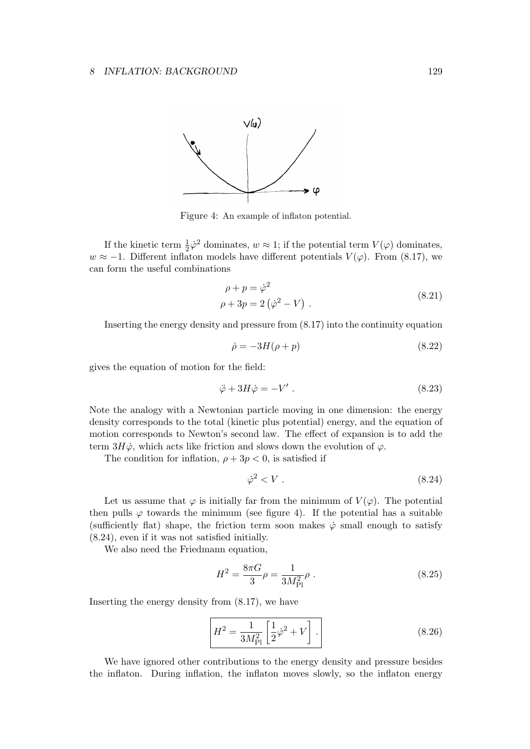

Figure 4: An example of inflaton potential.

If the kinetic term  $\frac{1}{2}\dot{\varphi}^2$  dominates,  $w \approx 1$ ; if the potential term  $V(\varphi)$  dominates,  $w \approx -1$ . Different inflaton models have different potentials  $V(\varphi)$ . From (8.17), we can form the useful combinations

$$
\rho + p = \dot{\varphi}^2
$$
  
\n
$$
\rho + 3p = 2(\dot{\varphi}^2 - V) .
$$
\n(8.21)

Inserting the energy density and pressure from (8.17) into the continuity equation

$$
\dot{\rho} = -3H(\rho + p) \tag{8.22}
$$

gives the equation of motion for the field:

$$
\ddot{\varphi} + 3H\dot{\varphi} = -V' \ . \tag{8.23}
$$

Note the analogy with a Newtonian particle moving in one dimension: the energy density corresponds to the total (kinetic plus potential) energy, and the equation of motion corresponds to Newton's second law. The effect of expansion is to add the term  $3H\dot{\varphi}$ , which acts like friction and slows down the evolution of  $\varphi$ .

The condition for inflation,  $\rho + 3p < 0$ , is satisfied if

$$
\dot{\varphi}^2 < V \tag{8.24}
$$

Let us assume that  $\varphi$  is initially far from the minimum of  $V(\varphi)$ . The potential then pulls  $\varphi$  towards the minimum (see figure 4). If the potential has a suitable (sufficiently flat) shape, the friction term soon makes  $\dot{\varphi}$  small enough to satisfy (8.24), even if it was not satisfied initially.

We also need the Friedmann equation,

$$
H^{2} = \frac{8\pi G}{3}\rho = \frac{1}{3M_{\rm Pl}^{2}}\rho.
$$
 (8.25)

Inserting the energy density from (8.17), we have

$$
H^{2} = \frac{1}{3M_{\rm Pl}^{2}} \left[ \frac{1}{2} \dot{\varphi}^{2} + V \right].
$$
 (8.26)

We have ignored other contributions to the energy density and pressure besides the inflaton. During inflation, the inflaton moves slowly, so the inflaton energy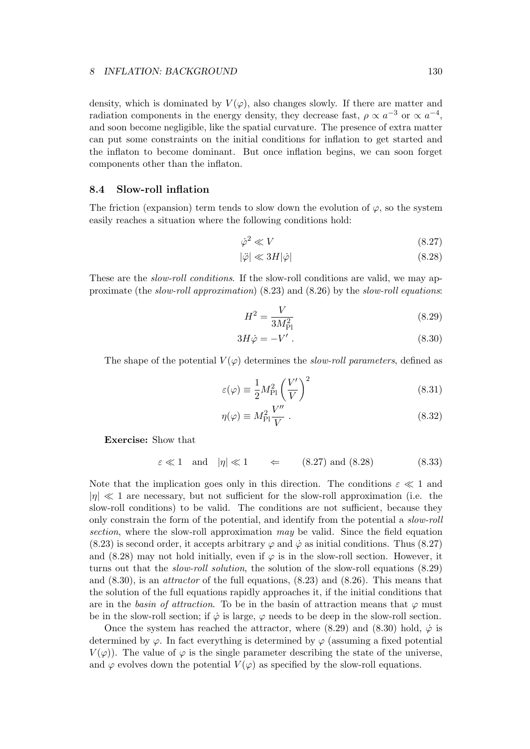density, which is dominated by  $V(\varphi)$ , also changes slowly. If there are matter and radiation components in the energy density, they decrease fast,  $\rho \propto a^{-3}$  or  $\propto a^{-4}$ , and soon become negligible, like the spatial curvature. The presence of extra matter can put some constraints on the initial conditions for inflation to get started and the inflaton to become dominant. But once inflation begins, we can soon forget components other than the inflaton.

# **8.4 Slow-roll inflation**

The friction (expansion) term tends to slow down the evolution of  $\varphi$ , so the system easily reaches a situation where the following conditions hold:

$$
\dot{\varphi}^2 \ll V \tag{8.27}
$$

$$
|\ddot{\varphi}| \ll 3H|\dot{\varphi}| \tag{8.28}
$$

These are the *slow-roll conditions*. If the slow-roll conditions are valid, we may approximate (the *slow-roll approximation*) (8.23) and (8.26) by the *slow-roll equations*:

$$
H^2 = \frac{V}{3M_{\rm Pl}^2} \tag{8.29}
$$

$$
3H\dot{\varphi} = -V' \ . \tag{8.30}
$$

The shape of the potential  $V(\varphi)$  determines the *slow-roll parameters*, defined as

$$
\varepsilon(\varphi) \equiv \frac{1}{2} M_{\rm Pl}^2 \left(\frac{V'}{V}\right)^2 \tag{8.31}
$$

$$
\eta(\varphi) \equiv M_{\rm Pl}^2 \frac{V''}{V} \ . \tag{8.32}
$$

**Exercise:** Show that

$$
\varepsilon \ll 1 \quad \text{and} \quad |\eta| \ll 1 \qquad \Leftarrow \qquad (8.27) \text{ and } (8.28) \tag{8.33}
$$

Note that the implication goes only in this direction. The conditions  $\varepsilon \ll 1$  and *|η| ≪* 1 are necessary, but not sufficient for the slow-roll approximation (i.e. the slow-roll conditions) to be valid. The conditions are not sufficient, because they only constrain the form of the potential, and identify from the potential a *slow-roll section*, where the slow-roll approximation *may* be valid. Since the field equation (8.23) is second order, it accepts arbitrary  $\varphi$  and  $\dot{\varphi}$  as initial conditions. Thus (8.27) and  $(8.28)$  may not hold initially, even if  $\varphi$  is in the slow-roll section. However, it turns out that the *slow-roll solution*, the solution of the slow-roll equations (8.29) and (8.30), is an *attractor* of the full equations, (8.23) and (8.26). This means that the solution of the full equations rapidly approaches it, if the initial conditions that are in the *basin of attraction*. To be in the basin of attraction means that  $\varphi$  must be in the slow-roll section; if  $\dot{\varphi}$  is large,  $\varphi$  needs to be deep in the slow-roll section.

Once the system has reached the attractor, where  $(8.29)$  and  $(8.30)$  hold,  $\dot{\varphi}$  is determined by  $\varphi$ . In fact everything is determined by  $\varphi$  (assuming a fixed potential  $V(\varphi)$ . The value of  $\varphi$  is the single parameter describing the state of the universe, and  $\varphi$  evolves down the potential  $V(\varphi)$  as specified by the slow-roll equations.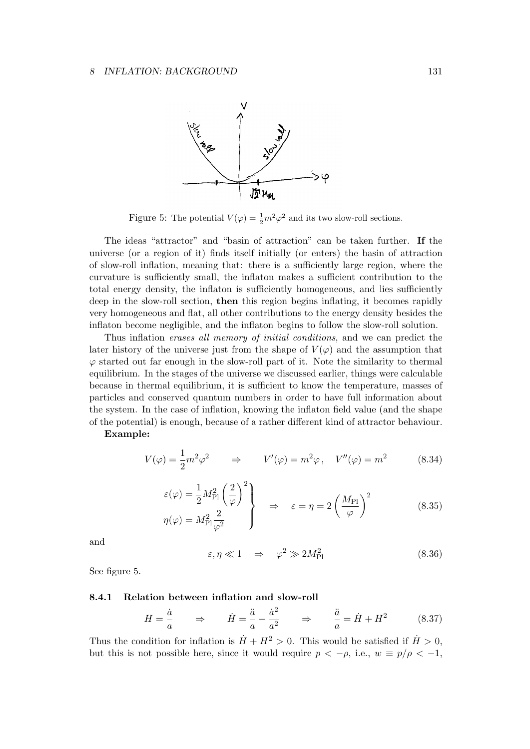

Figure 5: The potential  $V(\varphi) = \frac{1}{2}m^2\varphi^2$  and its two slow-roll sections.

The ideas "attractor" and "basin of attraction" can be taken further. **If** the universe (or a region of it) finds itself initially (or enters) the basin of attraction of slow-roll inflation, meaning that: there is a sufficiently large region, where the curvature is sufficiently small, the inflaton makes a sufficient contribution to the total energy density, the inflaton is sufficiently homogeneous, and lies sufficiently deep in the slow-roll section, **then** this region begins inflating, it becomes rapidly very homogeneous and flat, all other contributions to the energy density besides the inflaton become negligible, and the inflaton begins to follow the slow-roll solution.

Thus inflation *erases all memory of initial conditions*, and we can predict the later history of the universe just from the shape of  $V(\varphi)$  and the assumption that  $\varphi$  started out far enough in the slow-roll part of it. Note the similarity to thermal equilibrium. In the stages of the universe we discussed earlier, things were calculable because in thermal equilibrium, it is sufficient to know the temperature, masses of particles and conserved quantum numbers in order to have full information about the system. In the case of inflation, knowing the inflaton field value (and the shape of the potential) is enough, because of a rather different kind of attractor behaviour.

### **Example:**

$$
V(\varphi) = \frac{1}{2}m^2\varphi^2 \qquad \Rightarrow \qquad V'(\varphi) = m^2\varphi \,, \quad V''(\varphi) = m^2 \tag{8.34}
$$

$$
\varepsilon(\varphi) = \frac{1}{2} M_{\rm Pl}^2 \left(\frac{2}{\varphi}\right)^2 \right\} \quad \Rightarrow \quad \varepsilon = \eta = 2 \left(\frac{M_{\rm Pl}}{\varphi}\right)^2 \tag{8.35}
$$
\n
$$
\eta(\varphi) = M_{\rm Pl}^2 \frac{2}{\varphi^2}
$$

and

$$
\varepsilon, \eta \ll 1 \quad \Rightarrow \quad \varphi^2 \gg 2M_{\rm Pl}^2 \tag{8.36}
$$

See figure 5.

## **8.4.1 Relation between inflation and slow-roll**

$$
H = \frac{\dot{a}}{a} \qquad \Rightarrow \qquad \dot{H} = \frac{\ddot{a}}{a} - \frac{\dot{a}^2}{a^2} \qquad \Rightarrow \qquad \frac{\ddot{a}}{a} = \dot{H} + H^2 \tag{8.37}
$$

Thus the condition for inflation is  $\dot{H} + H^2 > 0$ . This would be satisfied if  $\dot{H} > 0$ , but this is not possible here, since it would require  $p < -\rho$ , i.e.,  $w \equiv p/\rho < -1$ ,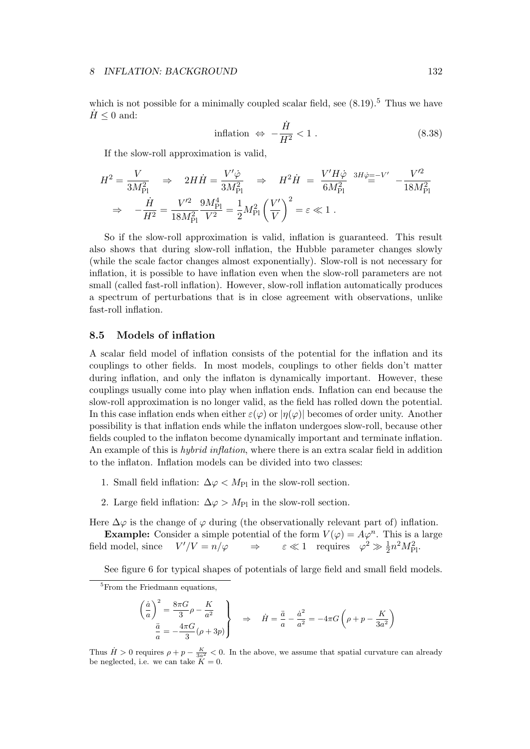which is not possible for a minimally coupled scalar field, see  $(8.19)$ .<sup>5</sup> Thus we have  $H \leq 0$  and:

$$
inflation \Leftrightarrow -\frac{\dot{H}}{H^2} < 1. \tag{8.38}
$$

If the slow-roll approximation is valid,

$$
H^{2} = \frac{V}{3M_{\text{Pl}}^{2}} \Rightarrow 2H\dot{H} = \frac{V'\dot{\varphi}}{3M_{\text{Pl}}^{2}} \Rightarrow H^{2}\dot{H} = \frac{V'H\dot{\varphi}}{6M_{\text{Pl}}^{2}} \stackrel{3H\dot{\varphi} = -V'}{=} -\frac{V'^{2}}{18M_{\text{Pl}}^{2}}
$$

$$
\Rightarrow -\frac{\dot{H}}{H^{2}} = \frac{V'^{2}}{18M_{\text{Pl}}^{2}} \frac{9M_{\text{Pl}}^{4}}{V^{2}} = \frac{1}{2}M_{\text{Pl}}^{2}\left(\frac{V'}{V}\right)^{2} = \varepsilon \ll 1.
$$

So if the slow-roll approximation is valid, inflation is guaranteed. This result also shows that during slow-roll inflation, the Hubble parameter changes slowly (while the scale factor changes almost exponentially). Slow-roll is not necessary for inflation, it is possible to have inflation even when the slow-roll parameters are not small (called fast-roll inflation). However, slow-roll inflation automatically produces a spectrum of perturbations that is in close agreement with observations, unlike fast-roll inflation.

# **8.5 Models of inflation**

A scalar field model of inflation consists of the potential for the inflation and its couplings to other fields. In most models, couplings to other fields don't matter during inflation, and only the inflaton is dynamically important. However, these couplings usually come into play when inflation ends. Inflation can end because the slow-roll approximation is no longer valid, as the field has rolled down the potential. In this case inflation ends when either  $\varepsilon(\varphi)$  or  $|\eta(\varphi)|$  becomes of order unity. Another possibility is that inflation ends while the inflaton undergoes slow-roll, because other fields coupled to the inflaton become dynamically important and terminate inflation. An example of this is *hybrid inflation*, where there is an extra scalar field in addition to the inflaton. Inflation models can be divided into two classes:

- 1. Small field inflation:  $\Delta \varphi < M_{\text{Pl}}$  in the slow-roll section.
- 2. Large field inflation:  $\Delta \varphi > M_{\text{Pl}}$  in the slow-roll section.

Here  $\Delta\varphi$  is the change of  $\varphi$  during (the observationally relevant part of) inflation.

**Example:** Consider a simple potential of the form  $V(\varphi) = A\varphi^n$ . This is a large field model, since  $V'/V = n/\varphi$  $\chi' / V = n / \varphi \implies \varepsilon \ll 1$  requires  $\varphi^2 \gg \frac{1}{2} n^2 M_{\text{Pl}}^2$ .

See figure 6 for typical shapes of potentials of large field and small field models.

$$
\left(\frac{\dot{a}}{a}\right)^2 = \frac{8\pi G}{3}\rho - \frac{K}{a^2}
$$
\n
$$
\frac{\ddot{a}}{a} = -\frac{4\pi G}{3}(\rho + 3p)
$$
\n
$$
\Rightarrow \quad \dot{H} = \frac{\ddot{a}}{a} - \frac{\dot{a}^2}{a^2} = -4\pi G\left(\rho + p - \frac{K}{3a^2}\right)
$$

Thus  $H > 0$  requires  $\rho + p - \frac{K}{3a^2} < 0$ . In the above, we assume that spatial curvature can already be neglected, i.e. we can take  $K = 0$ .

<sup>&</sup>lt;sup>5</sup>From the Friedmann equations.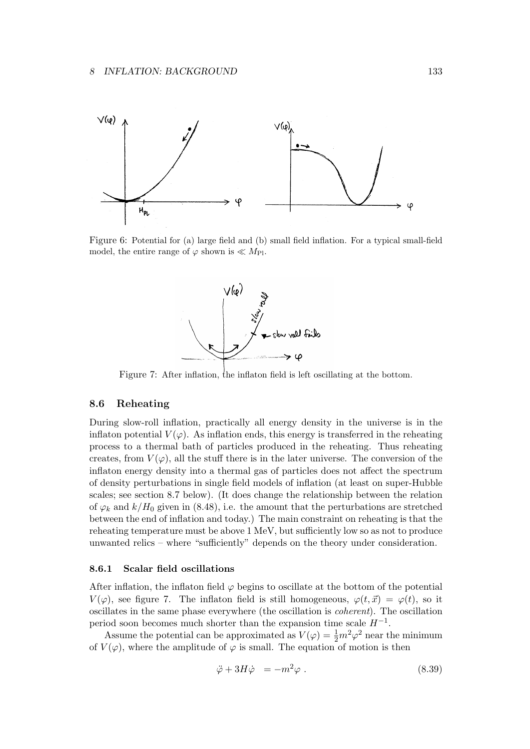

Figure 6: Potential for (a) large field and (b) small field inflation. For a typical small-field model, the entire range of  $\varphi$  shown is  $\ll M_{\text{Pl}}$ .



Figure 7: After inflation, the inflaton field is left oscillating at the bottom.

## **8.6 Reheating**

During slow-roll inflation, practically all energy density in the universe is in the inflaton potential  $V(\varphi)$ . As inflation ends, this energy is transferred in the reheating process to a thermal bath of particles produced in the reheating. Thus reheating creates, from  $V(\varphi)$ , all the stuff there is in the later universe. The conversion of the inflaton energy density into a thermal gas of particles does not affect the spectrum of density perturbations in single field models of inflation (at least on super-Hubble scales; see section 8.7 below). (It does change the relationship between the relation of  $\varphi_k$  and  $k/H_0$  given in (8.48), i.e. the amount that the perturbations are stretched between the end of inflation and today.) The main constraint on reheating is that the reheating temperature must be above 1 MeV, but sufficiently low so as not to produce unwanted relics – where "sufficiently" depends on the theory under consideration.

### **8.6.1 Scalar field oscillations**

After inflation, the inflaton field  $\varphi$  begins to oscillate at the bottom of the potential *V*( $\varphi$ ), see figure 7. The inflaton field is still homogeneous,  $\varphi(t, \vec{x}) = \varphi(t)$ , so it oscillates in the same phase everywhere (the oscillation is *coherent*). The oscillation period soon becomes much shorter than the expansion time scale *H−*<sup>1</sup> .

Assume the potential can be approximated as  $V(\varphi) = \frac{1}{2}m^2\varphi^2$  near the minimum of  $V(\varphi)$ , where the amplitude of  $\varphi$  is small. The equation of motion is then

$$
\ddot{\varphi} + 3H\dot{\varphi} = -m^2\varphi . \qquad (8.39)
$$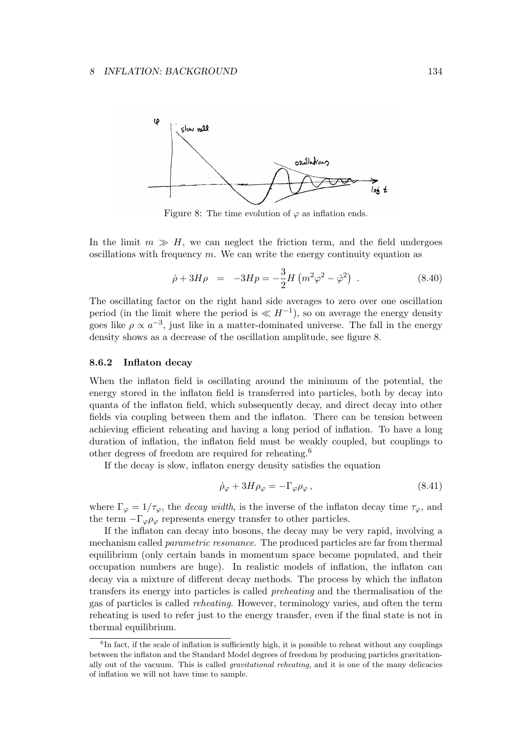

Figure 8: The time evolution of  $\varphi$  as inflation ends.

In the limit  $m \gg H$ , we can neglect the friction term, and the field undergoes oscillations with frequency *m*. We can write the energy continuity equation as

$$
\dot{\rho} + 3H\rho = -3Hp = -\frac{3}{2}H\left(m^2\varphi^2 - \dot{\varphi}^2\right) . \tag{8.40}
$$

The oscillating factor on the right hand side averages to zero over one oscillation period (in the limit where the period is  $\ll H^{-1}$ ), so on average the energy density goes like  $\rho \propto a^{-3}$ , just like in a matter-dominated universe. The fall in the energy density shows as a decrease of the oscillation amplitude, see figure 8.

### **8.6.2 Inflaton decay**

When the inflaton field is oscillating around the minimum of the potential, the energy stored in the inflaton field is transferred into particles, both by decay into quanta of the inflaton field, which subsequently decay, and direct decay into other fields via coupling between them and the inflaton. There can be tension between achieving efficient reheating and having a long period of inflation. To have a long duration of inflation, the inflaton field must be weakly coupled, but couplings to other degrees of freedom are required for reheating.<sup>6</sup>

If the decay is slow, inflaton energy density satisfies the equation

$$
\dot{\rho}_{\varphi} + 3H\rho_{\varphi} = -\Gamma_{\varphi}\rho_{\varphi} ,\qquad (8.41)
$$

where  $\Gamma_{\varphi} = 1/\tau_{\varphi}$ , the *decay width*, is the inverse of the inflaton decay time  $\tau_{\varphi}$ , and the term  $-\Gamma_{\varphi}\rho_{\varphi}$  represents energy transfer to other particles.

If the inflaton can decay into bosons, the decay may be very rapid, involving a mechanism called *parametric resonance*. The produced particles are far from thermal equilibrium (only certain bands in momentum space become populated, and their occupation numbers are huge). In realistic models of inflation, the inflaton can decay via a mixture of different decay methods. The process by which the inflaton transfers its energy into particles is called *preheating* and the thermalisation of the gas of particles is called *reheating*. However, terminology varies, and often the term reheating is used to refer just to the energy transfer, even if the final state is not in thermal equilibrium.

<sup>&</sup>lt;sup>6</sup>In fact, if the scale of inflation is sufficiently high, it is possible to reheat without any couplings between the inflaton and the Standard Model degrees of freedom by producing particles gravitationally out of the vacuum. This is called *gravitational reheating*, and it is one of the many delicacies of inflation we will not have time to sample.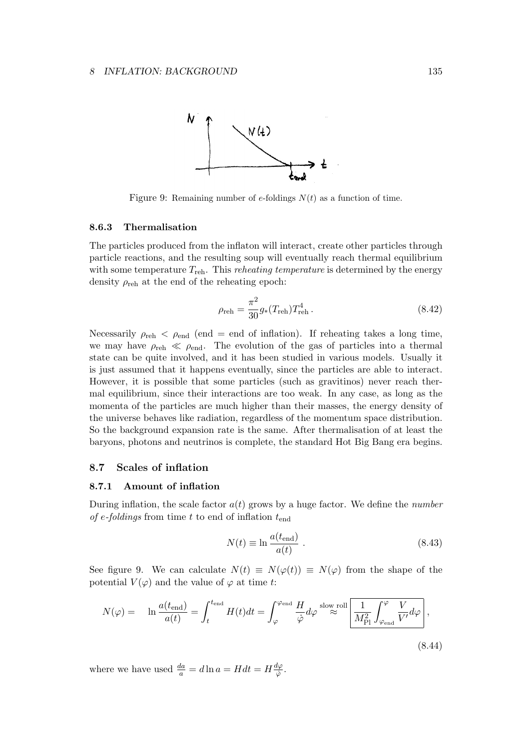

Figure 9: Remaining number of *e*-foldings *N*(*t*) as a function of time.

#### **8.6.3 Thermalisation**

The particles produced from the inflaton will interact, create other particles through particle reactions, and the resulting soup will eventually reach thermal equilibrium with some temperature  $T_{\text{reh}}$ . This *reheating temperature* is determined by the energy density  $\rho_{\text{reh}}$  at the end of the reheating epoch:

$$
\rho_{\rm reh} = \frac{\pi^2}{30} g_*(T_{\rm reh}) T_{\rm reh}^4.
$$
\n(8.42)

Necessarily  $\rho_{\text{reh}} < \rho_{\text{end}}$  (end = end of inflation). If reheating takes a long time, we may have  $\rho_{\text{reh}} \ll \rho_{\text{end}}$ . The evolution of the gas of particles into a thermal state can be quite involved, and it has been studied in various models. Usually it is just assumed that it happens eventually, since the particles are able to interact. However, it is possible that some particles (such as gravitinos) never reach thermal equilibrium, since their interactions are too weak. In any case, as long as the momenta of the particles are much higher than their masses, the energy density of the universe behaves like radiation, regardless of the momentum space distribution. So the background expansion rate is the same. After thermalisation of at least the baryons, photons and neutrinos is complete, the standard Hot Big Bang era begins.

# **8.7 Scales of inflation**

### **8.7.1 Amount of inflation**

During inflation, the scale factor  $a(t)$  grows by a huge factor. We define the *number of e-foldings* from time *t* to end of inflation *t*end

$$
N(t) \equiv \ln \frac{a(t_{\text{end}})}{a(t)} \,. \tag{8.43}
$$

See figure 9. We can calculate  $N(t) \equiv N(\varphi(t)) \equiv N(\varphi)$  from the shape of the potential  $V(\varphi)$  and the value of  $\varphi$  at time *t*:

$$
N(\varphi) = \ln \frac{a(t_{\text{end}})}{a(t)} = \int_{t}^{t_{\text{end}}} H(t)dt = \int_{\varphi}^{\varphi_{\text{end}}} \frac{H}{\dot{\varphi}} d\varphi \stackrel{\text{slow roll}}{\approx} \boxed{\frac{1}{M_{\text{Pl}}^2} \int_{\varphi_{\text{end}}}^{\varphi} \frac{V}{V'} d\varphi},\tag{8.44}
$$

where we have used  $\frac{da}{a} = d \ln a = H dt = H \frac{d\varphi}{\dot{\varphi}}$ *φ*˙ .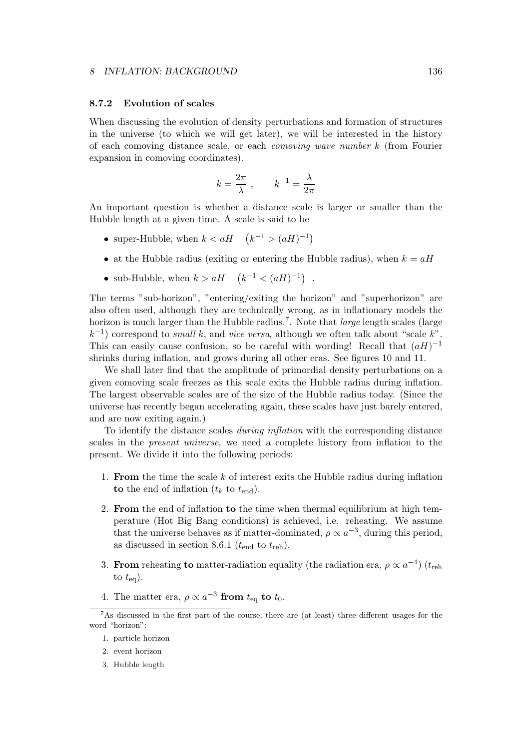# **8.7.2 Evolution of scales**

When discussing the evolution of density perturbations and formation of structures in the universe (to which we will get later), we will be interested in the history of each comoving distance scale, or each *comoving wave number k* (from Fourier expansion in comoving coordinates).

$$
k = \frac{2\pi}{\lambda} , \qquad k^{-1} = \frac{\lambda}{2\pi}
$$

An important question is whether a distance scale is larger or smaller than the Hubble length at a given time. A scale is said to be

- super-Hubble, when  $k < aH$   $(k^{-1} > (aH)^{-1})$
- at the Hubble radius (exiting or entering the Hubble radius), when  $k = aH$
- sub-Hubble, when  $k > aH$   $(k^{-1} < (aH)^{-1})$ .

The terms "sub-horizon", "entering/exiting the horizon" and "superhorizon" are also often used, although they are technically wrong, as in inflationary models the horizon is much larger than the Hubble radius.<sup>7</sup>. Note that *large* length scales (large *k −*1 ) correspond to *small k*, and *vice versa*, although we often talk about "scale *k*". This can easily cause confusion, so be careful with wording! Recall that  $(aH)^{-1}$ shrinks during inflation, and grows during all other eras. See figures 10 and 11.

We shall later find that the amplitude of primordial density perturbations on a given comoving scale freezes as this scale exits the Hubble radius during inflation. The largest observable scales are of the size of the Hubble radius today. (Since the universe has recently began accelerating again, these scales have just barely entered, and are now exiting again.)

To identify the distance scales *during inflation* with the corresponding distance scales in the *present universe*, we need a complete history from inflation to the present. We divide it into the following periods:

- 1. **From** the time the scale *k* of interest exits the Hubble radius during inflation **to** the end of inflation  $(t_k$  to  $t_{end})$ .
- 2. **From** the end of inflation **to** the time when thermal equilibrium at high temperature (Hot Big Bang conditions) is achieved, i.e. reheating. We assume that the universe behaves as if matter-dominated,  $\rho \propto a^{-3}$ , during this period, as discussed in section 8.6.1 ( $t_{\text{end}}$  to  $t_{\text{reh}}$ ).
- 3. **From** reheating **to** matter-radiation equality (the radiation era,  $\rho \propto a^{-4}$ ) ( $t_{\text{reh}}$ ) to  $t_{eq}$ ).
- 4. The matter era,  $\rho \propto a^{-3}$  from  $t_{\text{eq}}$  to  $t_0$ .

<sup>7</sup>As discussed in the first part of the course, there are (at least) three different usages for the word "horizon":

<sup>1.</sup> particle horizon

<sup>2.</sup> event horizon

<sup>3.</sup> Hubble length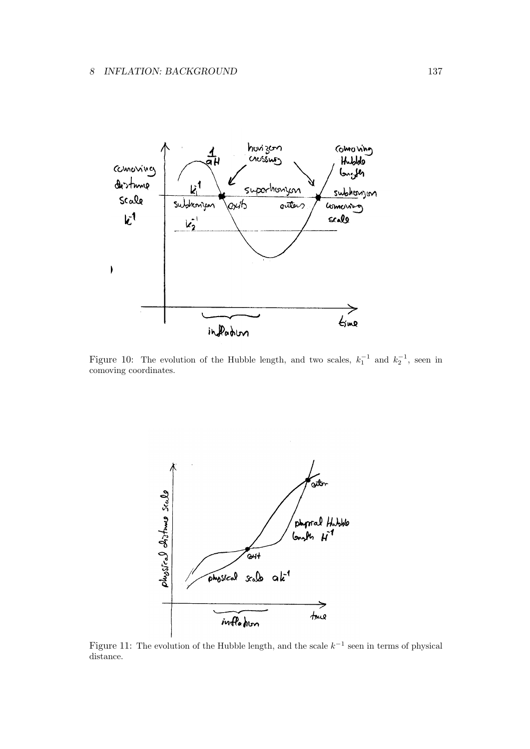

Figure 10: The evolution of the Hubble length, and two scales,  $k_1^{-1}$  and  $k_2^{-1}$ , seen in comoving coordinates.



Figure 11: The evolution of the Hubble length, and the scale *k −*1 seen in terms of physical distance.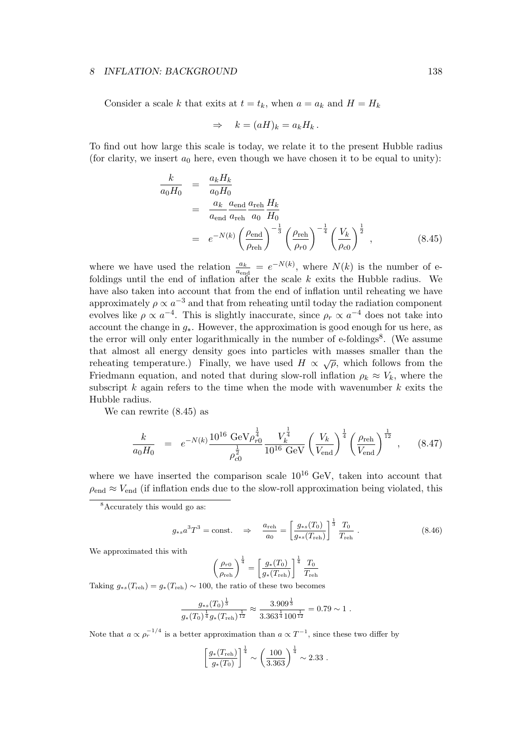Consider a scale *k* that exits at  $t = t_k$ , when  $a = a_k$  and  $H = H_k$ 

$$
\Rightarrow k = (aH)_k = a_k H_k.
$$

To find out how large this scale is today, we relate it to the present Hubble radius (for clarity, we insert  $a_0$  here, even though we have chosen it to be equal to unity):

$$
\frac{k}{a_0 H_0} = \frac{a_k H_k}{a_0 H_0}
$$
\n
$$
= \frac{a_k}{a_{end}} \frac{a_{end}}{a_{\text{reh}}} \frac{a_{\text{reh}}}{a_0 H_0}
$$
\n
$$
= e^{-N(k)} \left(\frac{\rho_{\text{end}}}{\rho_{\text{reh}}}\right)^{-\frac{1}{3}} \left(\frac{\rho_{\text{reh}}}{\rho_{\text{ro}}}\right)^{-\frac{1}{4}} \left(\frac{V_k}{\rho_{\text{co}}}\right)^{\frac{1}{2}},
$$
\n(8.45)

where we have used the relation  $\frac{a_k}{a_{\text{end}}} = e^{-N(k)}$ , where  $N(k)$  is the number of efoldings until the end of inflation after the scale *k* exits the Hubble radius. We have also taken into account that from the end of inflation until reheating we have approximately  $\rho \propto a^{-3}$  and that from reheating until today the radiation component evolves like  $\rho \propto a^{-4}$ . This is slightly inaccurate, since  $\rho_r \propto a^{-4}$  does not take into account the change in *g∗*. However, the approximation is good enough for us here, as the error will only enter logarithmically in the number of e-foldings<sup>8</sup>. (We assume that almost all energy density goes into particles with masses smaller than the reheating temperature.) Finally, we have used  $H \propto \sqrt{\rho}$ , which follows from the Friedmann equation, and noted that during slow-roll inflation  $\rho_k \approx V_k$ , where the subscript *k* again refers to the time when the mode with wavenumber *k* exits the Hubble radius.

We can rewrite (8.45) as

$$
\frac{k}{a_0 H_0} = e^{-N(k)} \frac{10^{16} \text{ GeV} \rho_{r0}^{\frac{1}{4}}}{\rho_{c0}^{\frac{1}{2}}} \frac{V_k^{\frac{1}{4}}}{10^{16} \text{ GeV}} \left(\frac{V_k}{V_{\text{end}}}\right)^{\frac{1}{4}} \left(\frac{\rho_{\text{reh}}}{V_{\text{end}}}\right)^{\frac{1}{12}}, \quad (8.47)
$$

where we have inserted the comparison scale  $10^{16}$  GeV, taken into account that  $\rho_{\text{end}} \approx V_{\text{end}}$  (if inflation ends due to the slow-roll approximation being violated, this

$$
g_{*s} a^3 T^3 = \text{const.} \Rightarrow \frac{a_{\text{reh}}}{a_0} = \left[ \frac{g_{*s}(T_0)}{g_{*s}(T_{\text{reh}})} \right]^{\frac{1}{3}} \frac{T_0}{T_{\text{reh}}}.
$$
 (8.46)

We approximated this with

$$
\left(\frac{\rho_{r0}}{\rho_{\text{reh}}}\right)^{\frac{1}{4}} = \left[\frac{g_*(T_0)}{g_*(T_{\text{reh}})}\right]^{\frac{1}{4}} \frac{T_0}{T_{\text{reh}}}
$$

Taking  $g_{*s}(T_{\text{reh}}) = g_*(T_{\text{reh}}) \sim 100$ , the ratio of these two becomes

$$
\frac{g_{\ast s}(T_0)^{\frac{1}{3}}}{g_{\ast}(T_0)^{\frac{1}{4}}g_{\ast}(T_{\rm reh})^{\frac{1}{12}}} \approx \frac{3.909^{\frac{1}{3}}}{3.363^{\frac{1}{4}}100^{\frac{1}{12}}}=0.79 \sim 1.
$$

Note that  $a \propto \rho_r^{-1/4}$  is a better approximation than  $a \propto T^{-1}$ , since these two differ by

$$
\left[\frac{g_*(T_{\rm reh})}{g_*(T_0)}\right]^{\frac{1}{4}} \sim \left(\frac{100}{3.363}\right)^{\frac{1}{4}} \sim 2.33.
$$

<sup>8</sup>Accurately this would go as: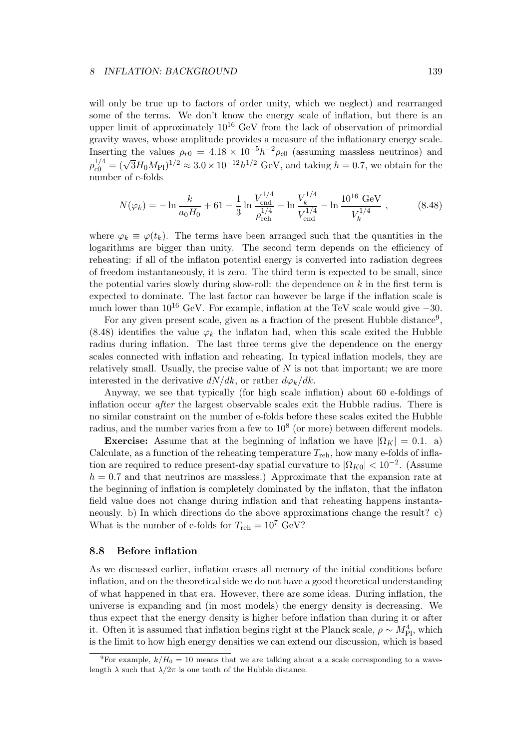will only be true up to factors of order unity, which we neglect) and rearranged some of the terms. We don't know the energy scale of inflation, but there is an upper limit of approximately  $10^{16}$  GeV from the lack of observation of primordial gravity waves, whose amplitude provides a measure of the inflationary energy scale. Inserting the values  $\rho_{r0} = 4.18 \times 10^{-5} h^{-2} \rho_{c0}$  (assuming massless neutrinos) and  $\rho_{c0}^{1/4} = (\sqrt{3}H_0M_{\rm Pl})^{1/2} \approx 3.0 \times 10^{-12}h^{1/2}$  GeV, and taking *h* = 0.7, we obtain for the number of e-folds

$$
N(\varphi_k) = -\ln \frac{k}{a_0 H_0} + 61 - \frac{1}{3} \ln \frac{V_{\text{end}}^{1/4}}{\rho_{\text{reh}}^{1/4}} + \ln \frac{V_k^{1/4}}{V_{\text{end}}^{1/4}} - \ln \frac{10^{16} \text{ GeV}}{V_k^{1/4}}, \qquad (8.48)
$$

where  $\varphi_k \equiv \varphi(t_k)$ . The terms have been arranged such that the quantities in the logarithms are bigger than unity. The second term depends on the efficiency of reheating: if all of the inflaton potential energy is converted into radiation degrees of freedom instantaneously, it is zero. The third term is expected to be small, since the potential varies slowly during slow-roll: the dependence on *k* in the first term is expected to dominate. The last factor can however be large if the inflation scale is much lower than 10<sup>16</sup> GeV. For example, inflation at the TeV scale would give *<sup>−</sup>*30.

For any given present scale, given as a fraction of the present Hubble distance<sup>9</sup>,  $(8.48)$  identifies the value  $\varphi_k$  the inflaton had, when this scale exited the Hubble radius during inflation. The last three terms give the dependence on the energy scales connected with inflation and reheating. In typical inflation models, they are relatively small. Usually, the precise value of *N* is not that important; we are more interested in the derivative  $dN/dk$ , or rather  $d\varphi_k/dk$ .

Anyway, we see that typically (for high scale inflation) about 60 e-foldings of inflation occur *after* the largest observable scales exit the Hubble radius. There is no similar constraint on the number of e-folds before these scales exited the Hubble radius, and the number varies from a few to  $10^8$  (or more) between different models.

**Exercise:** Assume that at the beginning of inflation we have  $| \Omega_K | = 0.1$ . a) Calculate, as a function of the reheating temperature  $T_{\text{reh}}$ , how many e-folds of inflation are required to reduce present-day spatial curvature to  $|\Omega_{K0}| < 10^{-2}$ . (Assume  $h = 0.7$  and that neutrinos are massless.) Approximate that the expansion rate at the beginning of inflation is completely dominated by the inflaton, that the inflaton field value does not change during inflation and that reheating happens instantaneously. b) In which directions do the above approximations change the result? c) What is the number of e-folds for  $T_{\text{reh}} = 10^7 \text{ GeV}$ ?

### **8.8 Before inflation**

As we discussed earlier, inflation erases all memory of the initial conditions before inflation, and on the theoretical side we do not have a good theoretical understanding of what happened in that era. However, there are some ideas. During inflation, the universe is expanding and (in most models) the energy density is decreasing. We thus expect that the energy density is higher before inflation than during it or after it. Often it is assumed that inflation begins right at the Planck scale,  $\rho \sim M_{\text{Pl}}^4$ , which is the limit to how high energy densities we can extend our discussion, which is based

<sup>&</sup>lt;sup>9</sup>For example,  $k/H_0 = 10$  means that we are talking about a a scale corresponding to a wavelength  $\lambda$  such that  $\lambda/2\pi$  is one tenth of the Hubble distance.